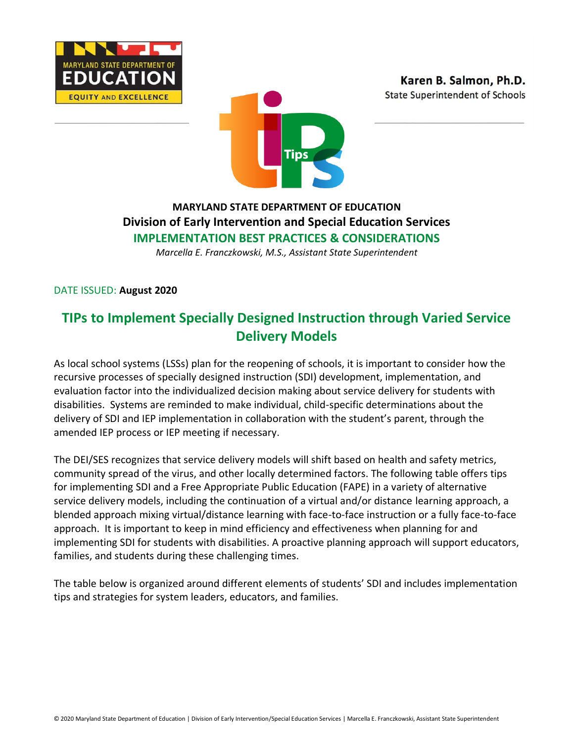





## **MARYLAND STATE DEPARTMENT OF EDUCATION Division of Early Intervention and Special Education Services IMPLEMENTATION BEST PRACTICES & CONSIDERATIONS**

*Marcella E. Franczkowski, M.S., Assistant State Superintendent*

DATE ISSUED: **August 2020**

# **TIPs to Implement Specially Designed Instruction through Varied Service Delivery Models**

As local school systems (LSSs) plan for the reopening of schools, it is important to consider how the recursive processes of specially designed instruction (SDI) development, implementation, and evaluation factor into the individualized decision making about service delivery for students with disabilities. Systems are reminded to make individual, child-specific determinations about the delivery of SDI and IEP implementation in collaboration with the student's parent, through the amended IEP process or IEP meeting if necessary.

The DEI/SES recognizes that service delivery models will shift based on health and safety metrics, community spread of the virus, and other locally determined factors. The following table offers tips for implementing SDI and a Free Appropriate Public Education (FAPE) in a variety of alternative service delivery models, including the continuation of a virtual and/or distance learning approach, a blended approach mixing virtual/distance learning with face-to-face instruction or a fully face-to-face approach. It is important to keep in mind efficiency and effectiveness when planning for and implementing SDI for students with disabilities. A proactive planning approach will support educators, families, and students during these challenging times.

The table below is organized around different elements of students' SDI and includes implementation tips and strategies for system leaders, educators, and families.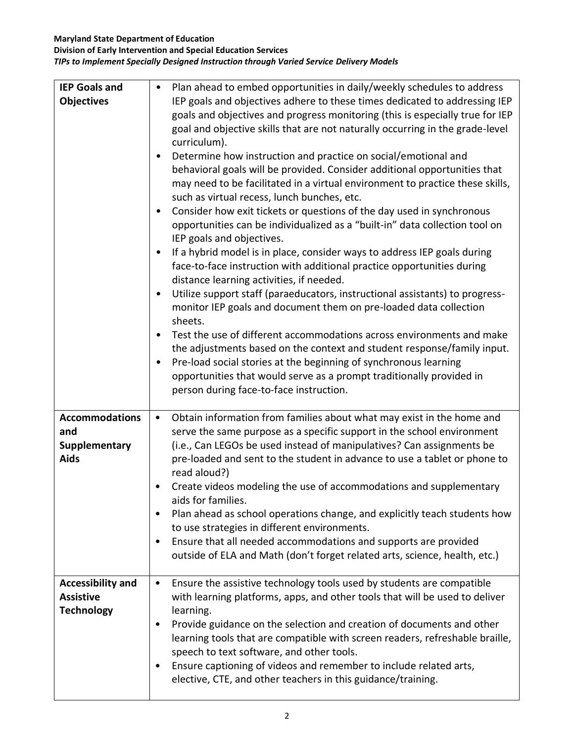#### **Maryland State Department of Education**

**Division of Early Intervention and Special Education Services** *TIPs to Implement Specially Designed Instruction through Varied Service Delivery Models*

| <b>IEP Goals and</b><br><b>Objectives</b>                           | Plan ahead to embed opportunities in daily/weekly schedules to address<br>IEP goals and objectives adhere to these times dedicated to addressing IEP<br>goals and objectives and progress monitoring (this is especially true for IEP<br>goal and objective skills that are not naturally occurring in the grade-level<br>curriculum).<br>Determine how instruction and practice on social/emotional and<br>$\bullet$<br>behavioral goals will be provided. Consider additional opportunities that<br>may need to be facilitated in a virtual environment to practice these skills,<br>such as virtual recess, lunch bunches, etc.<br>Consider how exit tickets or questions of the day used in synchronous<br>$\bullet$<br>opportunities can be individualized as a "built-in" data collection tool on<br>IEP goals and objectives.<br>If a hybrid model is in place, consider ways to address IEP goals during<br>$\bullet$<br>face-to-face instruction with additional practice opportunities during<br>distance learning activities, if needed.<br>Utilize support staff (paraeducators, instructional assistants) to progress-<br>$\bullet$<br>monitor IEP goals and document them on pre-loaded data collection<br>sheets.<br>Test the use of different accommodations across environments and make<br>the adjustments based on the context and student response/family input.<br>Pre-load social stories at the beginning of synchronous learning<br>$\bullet$<br>opportunities that would serve as a prompt traditionally provided in<br>person during face-to-face instruction. |
|---------------------------------------------------------------------|------------------------------------------------------------------------------------------------------------------------------------------------------------------------------------------------------------------------------------------------------------------------------------------------------------------------------------------------------------------------------------------------------------------------------------------------------------------------------------------------------------------------------------------------------------------------------------------------------------------------------------------------------------------------------------------------------------------------------------------------------------------------------------------------------------------------------------------------------------------------------------------------------------------------------------------------------------------------------------------------------------------------------------------------------------------------------------------------------------------------------------------------------------------------------------------------------------------------------------------------------------------------------------------------------------------------------------------------------------------------------------------------------------------------------------------------------------------------------------------------------------------------------------------------------------------------------------------|
| <b>Accommodations</b><br>and<br><b>Supplementary</b><br><b>Aids</b> | Obtain information from families about what may exist in the home and<br>$\bullet$<br>serve the same purpose as a specific support in the school environment<br>(i.e., Can LEGOs be used instead of manipulatives? Can assignments be<br>pre-loaded and sent to the student in advance to use a tablet or phone to<br>read aloud?)<br>Create videos modeling the use of accommodations and supplementary<br>aids for families.<br>Plan ahead as school operations change, and explicitly teach students how<br>$\bullet$<br>to use strategies in different environments.<br>Ensure that all needed accommodations and supports are provided<br>$\bullet$<br>outside of ELA and Math (don't forget related arts, science, health, etc.)                                                                                                                                                                                                                                                                                                                                                                                                                                                                                                                                                                                                                                                                                                                                                                                                                                                   |
| <b>Accessibility and</b><br><b>Assistive</b><br><b>Technology</b>   | Ensure the assistive technology tools used by students are compatible<br>$\bullet$<br>with learning platforms, apps, and other tools that will be used to deliver<br>learning.<br>Provide guidance on the selection and creation of documents and other<br>$\bullet$<br>learning tools that are compatible with screen readers, refreshable braille,<br>speech to text software, and other tools.<br>Ensure captioning of videos and remember to include related arts,<br>٠<br>elective, CTE, and other teachers in this guidance/training.                                                                                                                                                                                                                                                                                                                                                                                                                                                                                                                                                                                                                                                                                                                                                                                                                                                                                                                                                                                                                                              |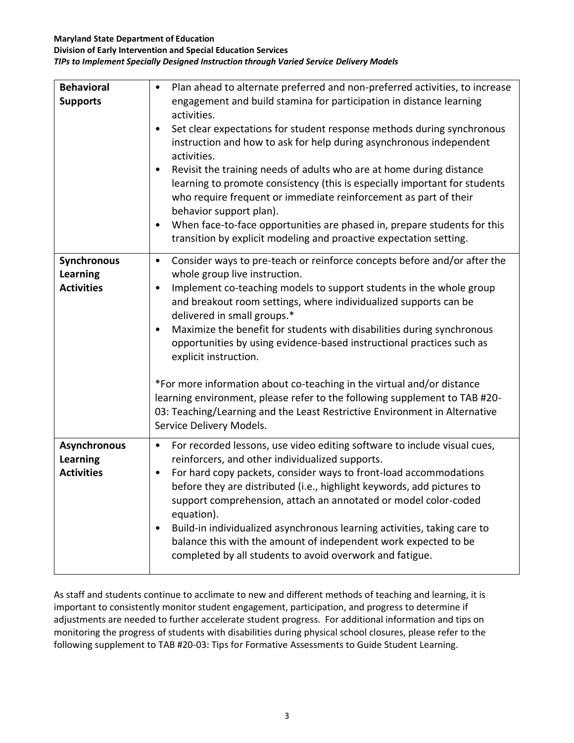#### **Maryland State Department of Education**

#### **Division of Early Intervention and Special Education Services** *TIPs to Implement Specially Designed Instruction through Varied Service Delivery Models*

| <b>Behavioral</b><br><b>Supports</b>                        | Plan ahead to alternate preferred and non-preferred activities, to increase<br>$\bullet$<br>engagement and build stamina for participation in distance learning<br>activities.<br>Set clear expectations for student response methods during synchronous<br>$\bullet$<br>instruction and how to ask for help during asynchronous independent<br>activities.<br>Revisit the training needs of adults who are at home during distance<br>$\bullet$<br>learning to promote consistency (this is especially important for students<br>who require frequent or immediate reinforcement as part of their<br>behavior support plan).<br>When face-to-face opportunities are phased in, prepare students for this<br>$\bullet$<br>transition by explicit modeling and proactive expectation setting. |
|-------------------------------------------------------------|----------------------------------------------------------------------------------------------------------------------------------------------------------------------------------------------------------------------------------------------------------------------------------------------------------------------------------------------------------------------------------------------------------------------------------------------------------------------------------------------------------------------------------------------------------------------------------------------------------------------------------------------------------------------------------------------------------------------------------------------------------------------------------------------|
| <b>Synchronous</b><br><b>Learning</b><br><b>Activities</b>  | Consider ways to pre-teach or reinforce concepts before and/or after the<br>$\bullet$<br>whole group live instruction.<br>Implement co-teaching models to support students in the whole group<br>$\bullet$<br>and breakout room settings, where individualized supports can be<br>delivered in small groups.*<br>Maximize the benefit for students with disabilities during synchronous<br>$\bullet$<br>opportunities by using evidence-based instructional practices such as<br>explicit instruction.<br>*For more information about co-teaching in the virtual and/or distance<br>learning environment, please refer to the following supplement to TAB #20-<br>03: Teaching/Learning and the Least Restrictive Environment in Alternative<br>Service Delivery Models.                     |
| <b>Asynchronous</b><br><b>Learning</b><br><b>Activities</b> | For recorded lessons, use video editing software to include visual cues,<br>$\bullet$<br>reinforcers, and other individualized supports.<br>For hard copy packets, consider ways to front-load accommodations<br>$\bullet$<br>before they are distributed (i.e., highlight keywords, add pictures to<br>support comprehension, attach an annotated or model color-coded<br>equation).<br>Build-in individualized asynchronous learning activities, taking care to<br>٠<br>balance this with the amount of independent work expected to be<br>completed by all students to avoid overwork and fatigue.                                                                                                                                                                                        |

As staff and students continue to acclimate to new and different methods of teaching and learning, it is important to consistently monitor student engagement, participation, and progress to determine if adjustments are needed to further accelerate student progress. For additional information and tips on monitoring the progress of students with disabilities during physical school closures, please refer to the following supplement to TAB #20-03: Tips for Formative Assessments to Guide Student Learning.